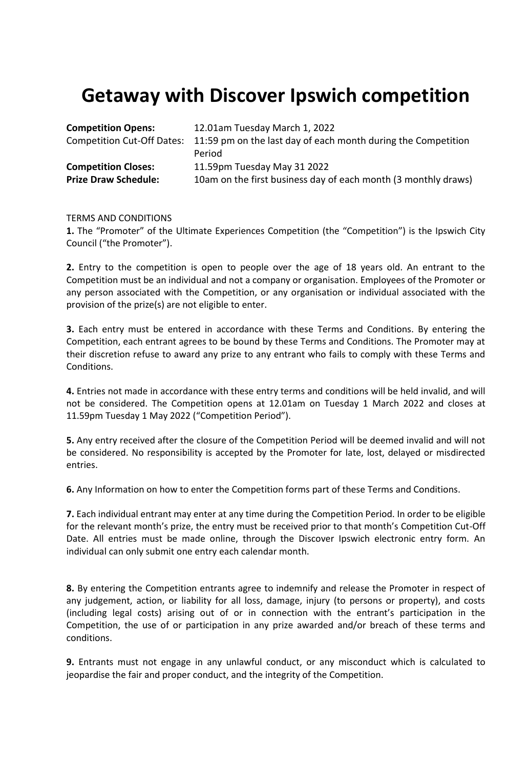## **Getaway with Discover Ipswich competition**

| <b>Competition Opens:</b>   | 12.01am Tuesday March 1, 2022                                                            |
|-----------------------------|------------------------------------------------------------------------------------------|
|                             | Competition Cut-Off Dates: 11:59 pm on the last day of each month during the Competition |
|                             | Period                                                                                   |
| <b>Competition Closes:</b>  | 11.59pm Tuesday May 31 2022                                                              |
| <b>Prize Draw Schedule:</b> | 10am on the first business day of each month (3 monthly draws)                           |

## TERMS AND CONDITIONS

**1.** The "Promoter" of the Ultimate Experiences Competition (the "Competition") is the Ipswich City Council ("the Promoter").

**2.** Entry to the competition is open to people over the age of 18 years old. An entrant to the Competition must be an individual and not a company or organisation. Employees of the Promoter or any person associated with the Competition, or any organisation or individual associated with the provision of the prize(s) are not eligible to enter.

**3.** Each entry must be entered in accordance with these Terms and Conditions. By entering the Competition, each entrant agrees to be bound by these Terms and Conditions. The Promoter may at their discretion refuse to award any prize to any entrant who fails to comply with these Terms and Conditions.

**4.** Entries not made in accordance with these entry terms and conditions will be held invalid, and will not be considered. The Competition opens at 12.01am on Tuesday 1 March 2022 and closes at 11.59pm Tuesday 1 May 2022 ("Competition Period").

**5.** Any entry received after the closure of the Competition Period will be deemed invalid and will not be considered. No responsibility is accepted by the Promoter for late, lost, delayed or misdirected entries.

**6.** Any Information on how to enter the Competition forms part of these Terms and Conditions.

**7.** Each individual entrant may enter at any time during the Competition Period. In order to be eligible for the relevant month's prize, the entry must be received prior to that month's Competition Cut-Off Date. All entries must be made online, through the Discover Ipswich electronic entry form. An individual can only submit one entry each calendar month.

**8.** By entering the Competition entrants agree to indemnify and release the Promoter in respect of any judgement, action, or liability for all loss, damage, injury (to persons or property), and costs (including legal costs) arising out of or in connection with the entrant's participation in the Competition, the use of or participation in any prize awarded and/or breach of these terms and conditions.

**9.** Entrants must not engage in any unlawful conduct, or any misconduct which is calculated to jeopardise the fair and proper conduct, and the integrity of the Competition.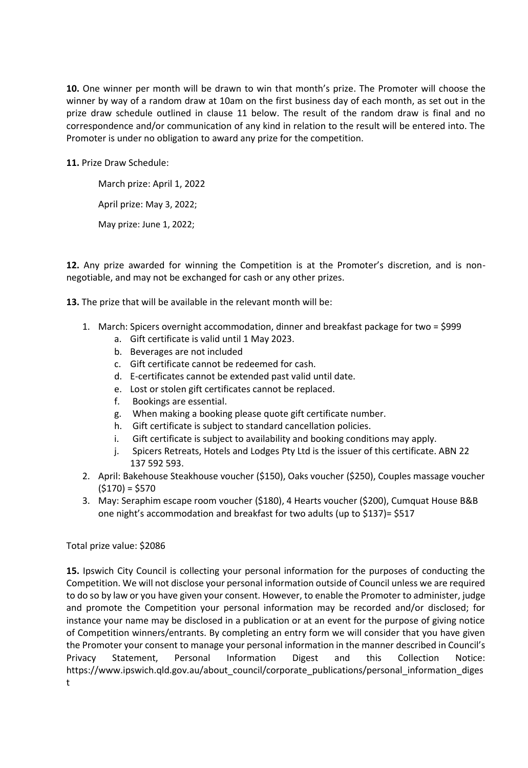**10.** One winner per month will be drawn to win that month's prize. The Promoter will choose the winner by way of a random draw at 10am on the first business day of each month, as set out in the prize draw schedule outlined in clause 11 below. The result of the random draw is final and no correspondence and/or communication of any kind in relation to the result will be entered into. The Promoter is under no obligation to award any prize for the competition.

**11.** Prize Draw Schedule:

March prize: April 1, 2022 April prize: May 3, 2022; May prize: June 1, 2022;

**12.** Any prize awarded for winning the Competition is at the Promoter's discretion, and is nonnegotiable, and may not be exchanged for cash or any other prizes.

**13.** The prize that will be available in the relevant month will be:

- 1. March: Spicers overnight accommodation, dinner and breakfast package for two = \$999
	- a. Gift certificate is valid until 1 May 2023.
	- b. Beverages are not included
	- c. Gift certificate cannot be redeemed for cash.
	- d. E-certificates cannot be extended past valid until date.
	- e. Lost or stolen gift certificates cannot be replaced.
	- f. Bookings are essential.
	- g. When making a booking please quote gift certificate number.
	- h. Gift certificate is subject to standard cancellation policies.
	- i. Gift certificate is subject to availability and booking conditions may apply.
	- j. Spicers Retreats, Hotels and Lodges Pty Ltd is the issuer of this certificate. ABN 22 137 592 593.
- 2. April: Bakehouse Steakhouse voucher (\$150), Oaks voucher (\$250), Couples massage voucher  $(5170) = 5570$
- 3. May: Seraphim escape room voucher (\$180), 4 Hearts voucher (\$200), Cumquat House B&B one night's accommodation and breakfast for two adults (up to \$137)= \$517

## Total prize value: \$2086

**15.** Ipswich City Council is collecting your personal information for the purposes of conducting the Competition. We will not disclose your personal information outside of Council unless we are required to do so by law or you have given your consent. However, to enable the Promoter to administer, judge and promote the Competition your personal information may be recorded and/or disclosed; for instance your name may be disclosed in a publication or at an event for the purpose of giving notice of Competition winners/entrants. By completing an entry form we will consider that you have given the Promoter your consent to manage your personal information in the manner described in Council's Privacy Statement, Personal Information Digest and this Collection Notice: https://www.ipswich.qld.gov.au/about\_council/corporate\_publications/personal\_information\_diges t